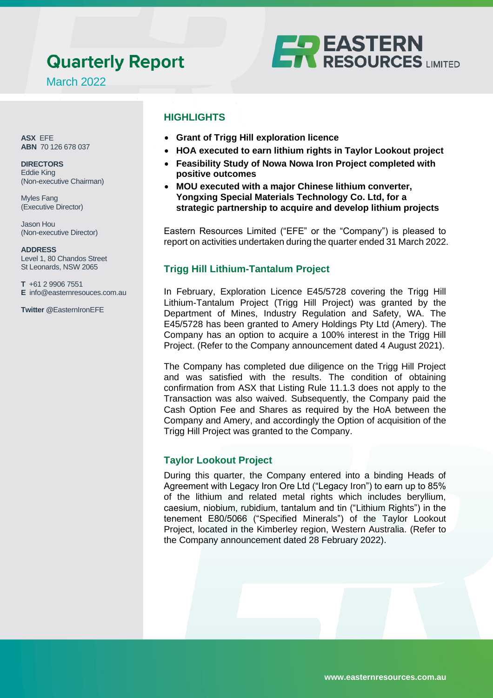# **Quarterly Report**



March 2022

**ASX** EFE **ABN** 70 126 678 037

**DIRECTORS** Eddie King (Non-executive Chairman)

Myles Fang (Executive Director)

Jason Hou (Non-executive Director)

**ADDRESS** Level 1, 80 Chandos Street St Leonards, NSW 2065

**T** +61 2 9906 7551 **E** info@easternresouces.com.au

**Twitter @**EasternIronEFE

# **HIGHLIGHTS**

- **Grant of Trigg Hill exploration licence**
- **HOA executed to earn lithium rights in Taylor Lookout project**
- **Feasibility Study of Nowa Nowa Iron Project completed with positive outcomes**
- **MOU executed with a major Chinese lithium converter, Yongxing Special Materials Technology Co. Ltd, for a strategic partnership to acquire and develop lithium projects**

Eastern Resources Limited ("EFE" or the "Company") is pleased to report on activities undertaken during the quarter ended 31 March 2022.

# **Trigg Hill Lithium-Tantalum Project**

In February, Exploration Licence E45/5728 covering the Trigg Hill Lithium-Tantalum Project (Trigg Hill Project) was granted by the Department of Mines, Industry Regulation and Safety, WA. The E45/5728 has been granted to Amery Holdings Pty Ltd (Amery). The Company has an option to acquire a 100% interest in the Trigg Hill Project. (Refer to the Company announcement dated 4 August 2021).

The Company has completed due diligence on the Trigg Hill Project and was satisfied with the results. The condition of obtaining confirmation from ASX that Listing Rule 11.1.3 does not apply to the Transaction was also waived. Subsequently, the Company paid the Cash Option Fee and Shares as required by the HoA between the Company and Amery, and accordingly the Option of acquisition of the Trigg Hill Project was granted to the Company.

# **Taylor Lookout Project**

During this quarter, the Company entered into a binding Heads of Agreement with Legacy Iron Ore Ltd ("Legacy Iron") to earn up to 85% of the lithium and related metal rights which includes beryllium, caesium, niobium, rubidium, tantalum and tin ("Lithium Rights") in the tenement E80/5066 ("Specified Minerals") of the Taylor Lookout Project, located in the Kimberley region, Western Australia. (Refer to the Company announcement dated 28 February 2022).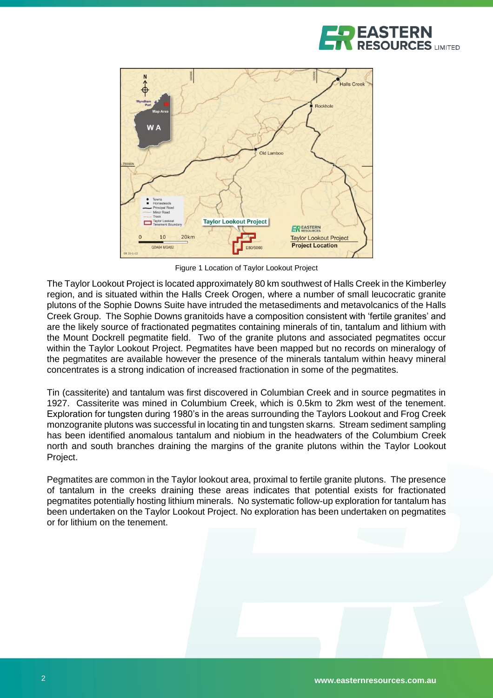



Figure 1 Location of Taylor Lookout Project

The Taylor Lookout Project is located approximately 80 km southwest of Halls Creek in the Kimberley region, and is situated within the Halls Creek Orogen, where a number of small leucocratic granite plutons of the Sophie Downs Suite have intruded the metasediments and metavolcanics of the Halls Creek Group. The Sophie Downs granitoids have a composition consistent with 'fertile granites' and are the likely source of fractionated pegmatites containing minerals of tin, tantalum and lithium with the Mount Dockrell pegmatite field. Two of the granite plutons and associated pegmatites occur within the Taylor Lookout Project. Pegmatites have been mapped but no records on mineralogy of the pegmatites are available however the presence of the minerals tantalum within heavy mineral concentrates is a strong indication of increased fractionation in some of the pegmatites.

Tin (cassiterite) and tantalum was first discovered in Columbian Creek and in source pegmatites in 1927. Cassiterite was mined in Columbium Creek, which is 0.5km to 2km west of the tenement. Exploration for tungsten during 1980's in the areas surrounding the Taylors Lookout and Frog Creek monzogranite plutons was successful in locating tin and tungsten skarns. Stream sediment sampling has been identified anomalous tantalum and niobium in the headwaters of the Columbium Creek north and south branches draining the margins of the granite plutons within the Taylor Lookout Project.

Pegmatites are common in the Taylor lookout area, proximal to fertile granite plutons. The presence of tantalum in the creeks draining these areas indicates that potential exists for fractionated pegmatites potentially hosting lithium minerals. No systematic follow-up exploration for tantalum has been undertaken on the Taylor Lookout Project. No exploration has been undertaken on pegmatites or for lithium on the tenement.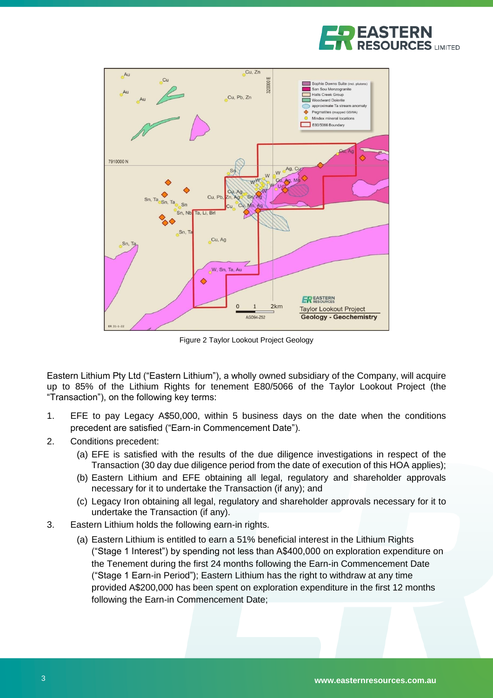



Figure 2 Taylor Lookout Project Geology

Eastern Lithium Pty Ltd ("Eastern Lithium"), a wholly owned subsidiary of the Company, will acquire up to 85% of the Lithium Rights for tenement E80/5066 of the Taylor Lookout Project (the "Transaction"), on the following key terms:

- 1. EFE to pay Legacy A\$50,000, within 5 business days on the date when the conditions precedent are satisfied ("Earn-in Commencement Date").
- 2. Conditions precedent:
	- (a) EFE is satisfied with the results of the due diligence investigations in respect of the Transaction (30 day due diligence period from the date of execution of this HOA applies);
	- (b) Eastern Lithium and EFE obtaining all legal, regulatory and shareholder approvals necessary for it to undertake the Transaction (if any); and
	- (c) Legacy Iron obtaining all legal, regulatory and shareholder approvals necessary for it to undertake the Transaction (if any).
- 3. Eastern Lithium holds the following earn-in rights.
	- (a) Eastern Lithium is entitled to earn a 51% beneficial interest in the Lithium Rights ("Stage 1 Interest") by spending not less than A\$400,000 on exploration expenditure on the Tenement during the first 24 months following the Earn-in Commencement Date ("Stage 1 Earn-in Period"); Eastern Lithium has the right to withdraw at any time provided A\$200,000 has been spent on exploration expenditure in the first 12 months following the Earn-in Commencement Date;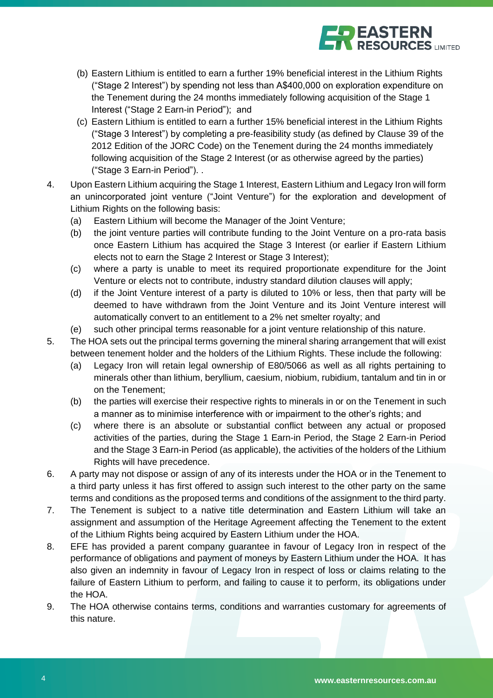

- (b) Eastern Lithium is entitled to earn a further 19% beneficial interest in the Lithium Rights ("Stage 2 Interest") by spending not less than A\$400,000 on exploration expenditure on the Tenement during the 24 months immediately following acquisition of the Stage 1 Interest ("Stage 2 Earn-in Period"); and
- (c) Eastern Lithium is entitled to earn a further 15% beneficial interest in the Lithium Rights ("Stage 3 Interest") by completing a pre-feasibility study (as defined by Clause 39 of the 2012 Edition of the JORC Code) on the Tenement during the 24 months immediately following acquisition of the Stage 2 Interest (or as otherwise agreed by the parties) ("Stage 3 Earn-in Period"). .
- 4. Upon Eastern Lithium acquiring the Stage 1 Interest, Eastern Lithium and Legacy Iron will form an unincorporated joint venture ("Joint Venture") for the exploration and development of Lithium Rights on the following basis:
	- (a) Eastern Lithium will become the Manager of the Joint Venture;
	- (b) the joint venture parties will contribute funding to the Joint Venture on a pro-rata basis once Eastern Lithium has acquired the Stage 3 Interest (or earlier if Eastern Lithium elects not to earn the Stage 2 Interest or Stage 3 Interest);
	- (c) where a party is unable to meet its required proportionate expenditure for the Joint Venture or elects not to contribute, industry standard dilution clauses will apply;
	- (d) if the Joint Venture interest of a party is diluted to 10% or less, then that party will be deemed to have withdrawn from the Joint Venture and its Joint Venture interest will automatically convert to an entitlement to a 2% net smelter royalty; and
	- (e) such other principal terms reasonable for a joint venture relationship of this nature.
- 5. The HOA sets out the principal terms governing the mineral sharing arrangement that will exist between tenement holder and the holders of the Lithium Rights. These include the following:
	- (a) Legacy Iron will retain legal ownership of E80/5066 as well as all rights pertaining to minerals other than lithium, beryllium, caesium, niobium, rubidium, tantalum and tin in or on the Tenement;
	- (b) the parties will exercise their respective rights to minerals in or on the Tenement in such a manner as to minimise interference with or impairment to the other's rights; and
	- (c) where there is an absolute or substantial conflict between any actual or proposed activities of the parties, during the Stage 1 Earn-in Period, the Stage 2 Earn-in Period and the Stage 3 Earn-in Period (as applicable), the activities of the holders of the Lithium Rights will have precedence.
- 6. A party may not dispose or assign of any of its interests under the HOA or in the Tenement to a third party unless it has first offered to assign such interest to the other party on the same terms and conditions as the proposed terms and conditions of the assignment to the third party.
- 7. The Tenement is subject to a native title determination and Eastern Lithium will take an assignment and assumption of the Heritage Agreement affecting the Tenement to the extent of the Lithium Rights being acquired by Eastern Lithium under the HOA.
- 8. EFE has provided a parent company guarantee in favour of Legacy Iron in respect of the performance of obligations and payment of moneys by Eastern Lithium under the HOA. It has also given an indemnity in favour of Legacy Iron in respect of loss or claims relating to the failure of Eastern Lithium to perform, and failing to cause it to perform, its obligations under the HOA.
- 9. The HOA otherwise contains terms, conditions and warranties customary for agreements of this nature.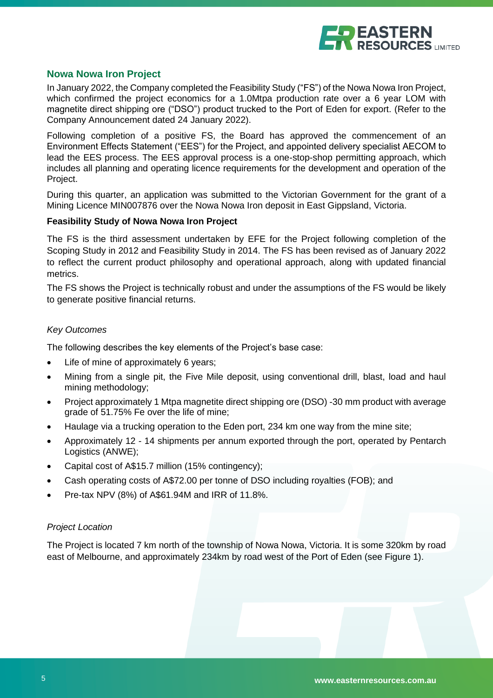

#### **Nowa Nowa Iron Project**

In January 2022, the Company completed the Feasibility Study ("FS") of the Nowa Nowa Iron Project, which confirmed the project economics for a 1.0Mtpa production rate over a 6 year LOM with magnetite direct shipping ore ("DSO") product trucked to the Port of Eden for export. (Refer to the Company Announcement dated 24 January 2022).

Following completion of a positive FS, the Board has approved the commencement of an Environment Effects Statement ("EES") for the Project, and appointed delivery specialist AECOM to lead the EES process. The EES approval process is a one-stop-shop permitting approach, which includes all planning and operating licence requirements for the development and operation of the Project.

During this quarter, an application was submitted to the Victorian Government for the grant of a Mining Licence MIN007876 over the Nowa Nowa Iron deposit in East Gippsland, Victoria.

#### **Feasibility Study of Nowa Nowa Iron Project**

The FS is the third assessment undertaken by EFE for the Project following completion of the Scoping Study in 2012 and Feasibility Study in 2014. The FS has been revised as of January 2022 to reflect the current product philosophy and operational approach, along with updated financial metrics.

The FS shows the Project is technically robust and under the assumptions of the FS would be likely to generate positive financial returns.

#### *Key Outcomes*

The following describes the key elements of the Project's base case:

- Life of mine of approximately 6 years;
- Mining from a single pit, the Five Mile deposit, using conventional drill, blast, load and haul mining methodology;
- Project approximately 1 Mtpa magnetite direct shipping ore (DSO) -30 mm product with average grade of 51.75% Fe over the life of mine;
- Haulage via a trucking operation to the Eden port, 234 km one way from the mine site;
- Approximately 12 14 shipments per annum exported through the port, operated by Pentarch Logistics (ANWE);
- Capital cost of A\$15.7 million (15% contingency);
- Cash operating costs of A\$72.00 per tonne of DSO including royalties (FOB); and
- Pre-tax NPV (8%) of A\$61.94M and IRR of 11.8%.

#### *Project Location*

The Project is located 7 km north of the township of Nowa Nowa, Victoria. It is some 320km by road east of Melbourne, and approximately 234km by road west of the Port of Eden (see Figure 1).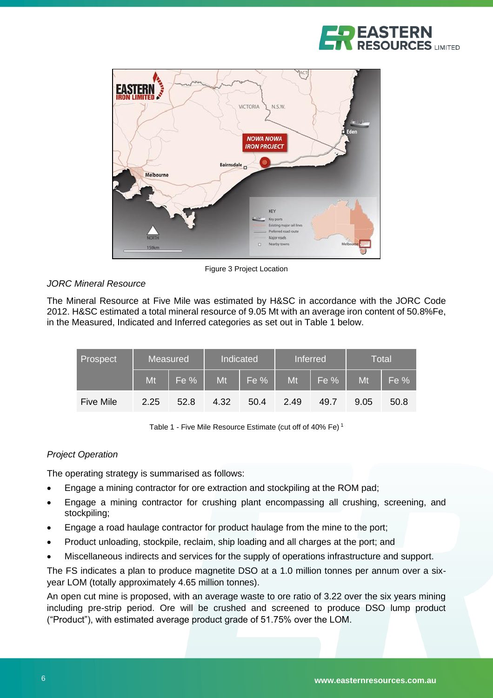



Figure 3 Project Location

## *JORC Mineral Resource*

The Mineral Resource at Five Mile was estimated by H&SC in accordance with the JORC Code 2012. H&SC estimated a total mineral resource of 9.05 Mt with an average iron content of 50.8%Fe, in the Measured, Indicated and Inferred categories as set out in Table 1 below.

| Prospect         | <b>Measured</b> |      | Indicated |      | <b>Inferred</b> |        | <b>Total</b> |      |
|------------------|-----------------|------|-----------|------|-----------------|--------|--------------|------|
|                  | Mt              | Fe % | Mt        | Fe % | Mt              | $Fe$ % | Mt           | Fe % |
| <b>Five Mile</b> | 2.25            | 52.8 | 4.32      | 50.4 | 2.49            | 49.7   | 9.05         | 50.8 |

Table 1 - Five Mile Resource Estimate (cut off of 40% Fe) <sup>1</sup>

## *Project Operation*

The operating strategy is summarised as follows:

- Engage a mining contractor for ore extraction and stockpiling at the ROM pad;
- Engage a mining contractor for crushing plant encompassing all crushing, screening, and stockpiling;
- Engage a road haulage contractor for product haulage from the mine to the port;
- Product unloading, stockpile, reclaim, ship loading and all charges at the port; and
- Miscellaneous indirects and services for the supply of operations infrastructure and support.

The FS indicates a plan to produce magnetite DSO at a 1.0 million tonnes per annum over a sixyear LOM (totally approximately 4.65 million tonnes).

An open cut mine is proposed, with an average waste to ore ratio of 3.22 over the six years mining including pre-strip period. Ore will be crushed and screened to produce DSO lump product ("Product"), with estimated average product grade of 51.75% over the LOM.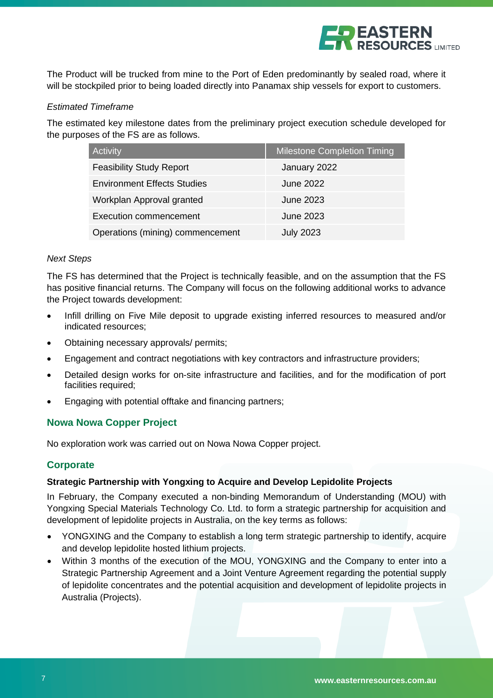

The Product will be trucked from mine to the Port of Eden predominantly by sealed road, where it will be stockpiled prior to being loaded directly into Panamax ship vessels for export to customers.

#### *Estimated Timeframe*

The estimated key milestone dates from the preliminary project execution schedule developed for the purposes of the FS are as follows.

| Activity                           | <b>Milestone Completion Timing</b> |
|------------------------------------|------------------------------------|
| <b>Feasibility Study Report</b>    | January 2022                       |
| <b>Environment Effects Studies</b> | June 2022                          |
| Workplan Approval granted          | June 2023                          |
| <b>Execution commencement</b>      | June 2023                          |
| Operations (mining) commencement   | <b>July 2023</b>                   |

#### *Next Steps*

The FS has determined that the Project is technically feasible, and on the assumption that the FS has positive financial returns. The Company will focus on the following additional works to advance the Project towards development:

- Infill drilling on Five Mile deposit to upgrade existing inferred resources to measured and/or indicated resources;
- Obtaining necessary approvals/ permits;
- Engagement and contract negotiations with key contractors and infrastructure providers;
- Detailed design works for on-site infrastructure and facilities, and for the modification of port facilities required;
- Engaging with potential offtake and financing partners;

## **Nowa Nowa Copper Project**

No exploration work was carried out on Nowa Nowa Copper project.

## **Corporate**

#### **Strategic Partnership with Yongxing to Acquire and Develop Lepidolite Projects**

In February, the Company executed a non-binding Memorandum of Understanding (MOU) with Yongxing Special Materials Technology Co. Ltd. to form a strategic partnership for acquisition and development of lepidolite projects in Australia, on the key terms as follows:

- YONGXING and the Company to establish a long term strategic partnership to identify, acquire and develop lepidolite hosted lithium projects.
- Within 3 months of the execution of the MOU, YONGXING and the Company to enter into a Strategic Partnership Agreement and a Joint Venture Agreement regarding the potential supply of lepidolite concentrates and the potential acquisition and development of lepidolite projects in Australia (Projects).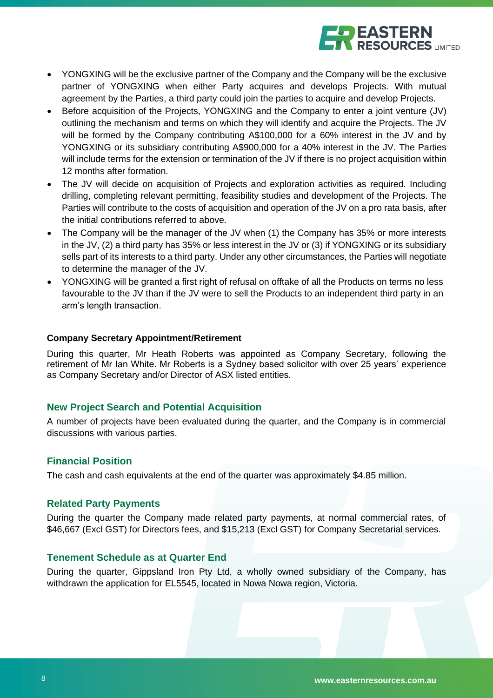

- YONGXING will be the exclusive partner of the Company and the Company will be the exclusive partner of YONGXING when either Party acquires and develops Projects. With mutual agreement by the Parties, a third party could join the parties to acquire and develop Projects.
- Before acquisition of the Projects, YONGXING and the Company to enter a joint venture (JV) outlining the mechanism and terms on which they will identify and acquire the Projects. The JV will be formed by the Company contributing A\$100,000 for a 60% interest in the JV and by YONGXING or its subsidiary contributing A\$900,000 for a 40% interest in the JV. The Parties will include terms for the extension or termination of the JV if there is no project acquisition within 12 months after formation.
- The JV will decide on acquisition of Projects and exploration activities as required. Including drilling, completing relevant permitting, feasibility studies and development of the Projects. The Parties will contribute to the costs of acquisition and operation of the JV on a pro rata basis, after the initial contributions referred to above.
- The Company will be the manager of the JV when (1) the Company has 35% or more interests in the JV, (2) a third party has 35% or less interest in the JV or (3) if YONGXING or its subsidiary sells part of its interests to a third party. Under any other circumstances, the Parties will negotiate to determine the manager of the JV.
- YONGXING will be granted a first right of refusal on offtake of all the Products on terms no less favourable to the JV than if the JV were to sell the Products to an independent third party in an arm's length transaction.

#### **Company Secretary Appointment/Retirement**

During this quarter, Mr Heath Roberts was appointed as Company Secretary, following the retirement of Mr Ian White. Mr Roberts is a Sydney based solicitor with over 25 years' experience as Company Secretary and/or Director of ASX listed entities.

## **New Project Search and Potential Acquisition**

A number of projects have been evaluated during the quarter, and the Company is in commercial discussions with various parties.

## **Financial Position**

The cash and cash equivalents at the end of the quarter was approximately \$4.85 million.

## **Related Party Payments**

During the quarter the Company made related party payments, at normal commercial rates, of \$46,667 (Excl GST) for Directors fees, and \$15,213 (Excl GST) for Company Secretarial services.

#### **Tenement Schedule as at Quarter End**

During the quarter, Gippsland Iron Pty Ltd, a wholly owned subsidiary of the Company, has withdrawn the application for EL5545, located in Nowa Nowa region, Victoria.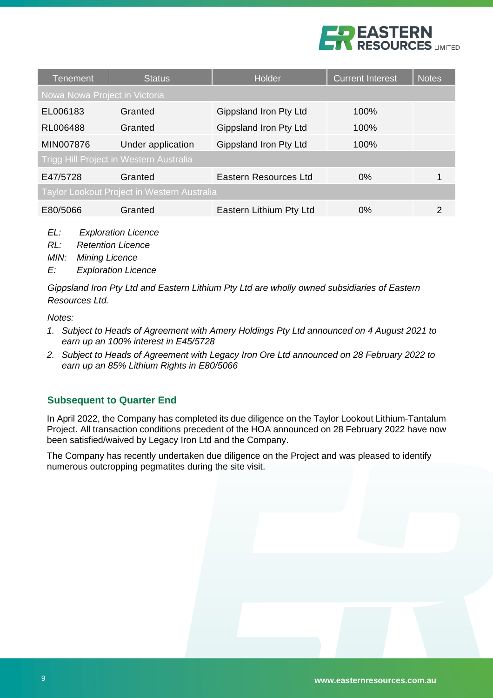

| <b>Tenement</b>                                    | <b>Status</b>     | Holder                  | <b>Current Interest</b> | <b>Notes</b> |  |  |  |  |  |  |  |
|----------------------------------------------------|-------------------|-------------------------|-------------------------|--------------|--|--|--|--|--|--|--|
| Nowa Nowa Project in Victoria                      |                   |                         |                         |              |  |  |  |  |  |  |  |
| EL006183                                           | Granted           | Gippsland Iron Pty Ltd  | 100%                    |              |  |  |  |  |  |  |  |
| RL006488                                           | Granted           | Gippsland Iron Pty Ltd  | 100%                    |              |  |  |  |  |  |  |  |
| MIN007876                                          | Under application | Gippsland Iron Pty Ltd  | 100%                    |              |  |  |  |  |  |  |  |
| Trigg Hill Project in Western Australia            |                   |                         |                         |              |  |  |  |  |  |  |  |
| E47/5728                                           | Granted           | Eastern Resources Ltd   | $0\%$                   |              |  |  |  |  |  |  |  |
| <b>Taylor Lookout Project in Western Australia</b> |                   |                         |                         |              |  |  |  |  |  |  |  |
| E80/5066                                           | Granted           | Eastern Lithium Pty Ltd | $0\%$                   | 2            |  |  |  |  |  |  |  |

- *EL: Exploration Licence*
- *RL: Retention Licence*

*MIN: Mining Licence*

*E: Exploration Licence*

*Gippsland Iron Pty Ltd and Eastern Lithium Pty Ltd are wholly owned subsidiaries of Eastern Resources Ltd.*

*Notes:* 

- *1. Subject to Heads of Agreement with Amery Holdings Pty Ltd announced on 4 August 2021 to earn up an 100% interest in E45/5728*
- *2. Subject to Heads of Agreement with Legacy Iron Ore Ltd announced on 28 February 2022 to earn up an 85% Lithium Rights in E80/5066*

# **Subsequent to Quarter End**

In April 2022, the Company has completed its due diligence on the Taylor Lookout Lithium-Tantalum Project. All transaction conditions precedent of the HOA announced on 28 February 2022 have now been satisfied/waived by Legacy Iron Ltd and the Company.

The Company has recently undertaken due diligence on the Project and was pleased to identify numerous outcropping pegmatites during the site visit.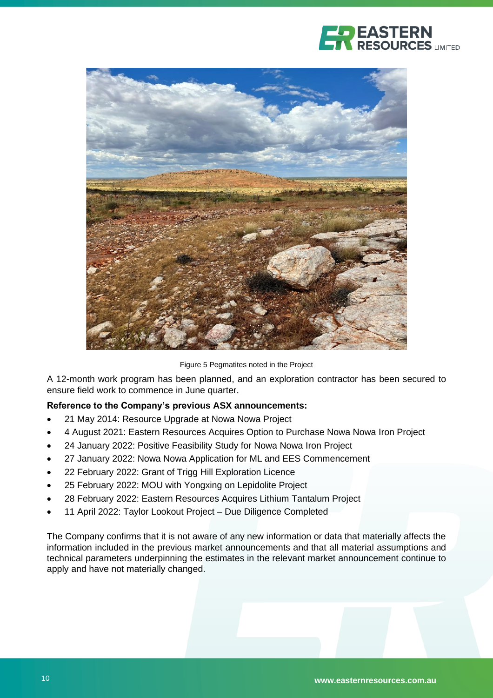



Figure 5 Pegmatites noted in the Project

A 12-month work program has been planned, and an exploration contractor has been secured to ensure field work to commence in June quarter.

## **Reference to the Company's previous ASX announcements:**

- 21 May 2014: Resource Upgrade at Nowa Nowa Project
- 4 August 2021: Eastern Resources Acquires Option to Purchase Nowa Nowa Iron Project
- 24 January 2022: Positive Feasibility Study for Nowa Nowa Iron Project
- 27 January 2022: Nowa Nowa Application for ML and EES Commencement
- 22 February 2022: Grant of Trigg Hill Exploration Licence
- 25 February 2022: MOU with Yongxing on Lepidolite Project
- 28 February 2022: Eastern Resources Acquires Lithium Tantalum Project
- 11 April 2022: Taylor Lookout Project Due Diligence Completed

The Company confirms that it is not aware of any new information or data that materially affects the information included in the previous market announcements and that all material assumptions and technical parameters underpinning the estimates in the relevant market announcement continue to apply and have not materially changed.